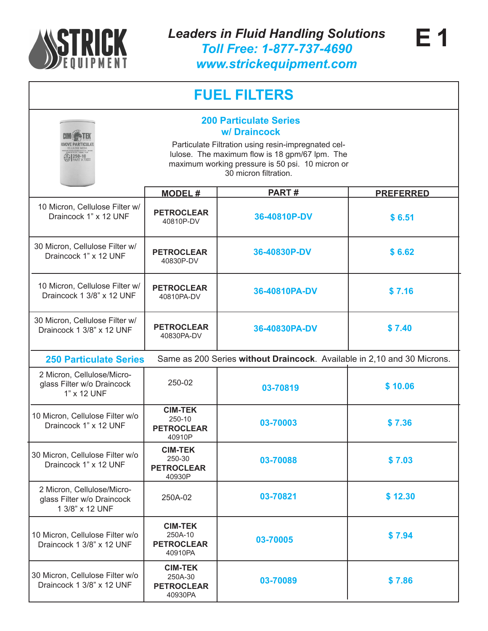

Draincock 1 3/8" x 12 UNF

**PETROCLEAR** 40930PA

| <b>FUEL FILTERS</b>                                                                                                                                                                                                                                    |                                                           |                                                                         |                  |  |
|--------------------------------------------------------------------------------------------------------------------------------------------------------------------------------------------------------------------------------------------------------|-----------------------------------------------------------|-------------------------------------------------------------------------|------------------|--|
| <b>200 Particulate Series</b><br>w/Draincock<br>Particulate Filtration using resin-impregnated cel-<br>lulose. The maximum flow is 18 gpm/67 lpm. The<br><b>10 250-10</b><br>maximum working pressure is 50 psi. 10 micron or<br>30 micron filtration. |                                                           |                                                                         |                  |  |
|                                                                                                                                                                                                                                                        | <b>MODEL#</b>                                             | PART#                                                                   | <b>PREFERRED</b> |  |
| 10 Micron, Cellulose Filter w/<br>Draincock 1" x 12 UNF                                                                                                                                                                                                | <b>PETROCLEAR</b><br>40810P-DV                            | 36-40810P-DV                                                            | \$6.51           |  |
| 30 Micron, Cellulose Filter w/<br>Draincock 1" x 12 UNF                                                                                                                                                                                                | <b>PETROCLEAR</b><br>40830P-DV                            | 36-40830P-DV                                                            | \$6.62           |  |
| 10 Micron, Cellulose Filter w/<br>Draincock 1 3/8" x 12 UNF                                                                                                                                                                                            | <b>PETROCLEAR</b><br>40810PA-DV                           | 36-40810PA-DV                                                           | \$7.16           |  |
| 30 Micron, Cellulose Filter w/<br>Draincock 1 3/8" x 12 UNF                                                                                                                                                                                            | <b>PETROCLEAR</b><br>40830PA-DV                           | 36-40830PA-DV                                                           | \$7.40           |  |
| <b>250 Particulate Series</b>                                                                                                                                                                                                                          |                                                           | Same as 200 Series without Draincock. Available in 2,10 and 30 Microns. |                  |  |
| 2 Micron, Cellulose/Micro-<br>glass Filter w/o Draincock<br>1" x 12 UNF                                                                                                                                                                                | 250-02                                                    | 03-70819                                                                | \$10.06          |  |
| 10 Micron, Cellulose Filter w/o<br>Draincock 1" x 12 UNF                                                                                                                                                                                               | <b>CIM-TEK</b><br>250-10<br><b>PETROCLEAR</b><br>40910P   | 03-70003                                                                | \$7.36           |  |
| 30 Micron, Cellulose Filter w/o<br>Draincock 1" x 12 UNF                                                                                                                                                                                               | <b>CIM-TEK</b><br>250-30<br><b>PETROCLEAR</b><br>40930P   | 03-70088                                                                | \$7.03           |  |
| 2 Micron, Cellulose/Micro-<br>glass Filter w/o Draincock<br>1 3/8" x 12 UNF                                                                                                                                                                            | 250A-02                                                   | 03-70821                                                                | \$12.30          |  |
| 10 Micron, Cellulose Filter w/o<br>Draincock 1 3/8" x 12 UNF                                                                                                                                                                                           | <b>CIM-TEK</b><br>250A-10<br><b>PETROCLEAR</b><br>40910PA | 03-70005                                                                | \$7.94           |  |
| 30 Micron, Cellulose Filter w/o                                                                                                                                                                                                                        | <b>CIM-TEK</b><br>250A-30                                 | <b>02 70000</b>                                                         | 2700             |  |

**03-70089 \$ 7.86**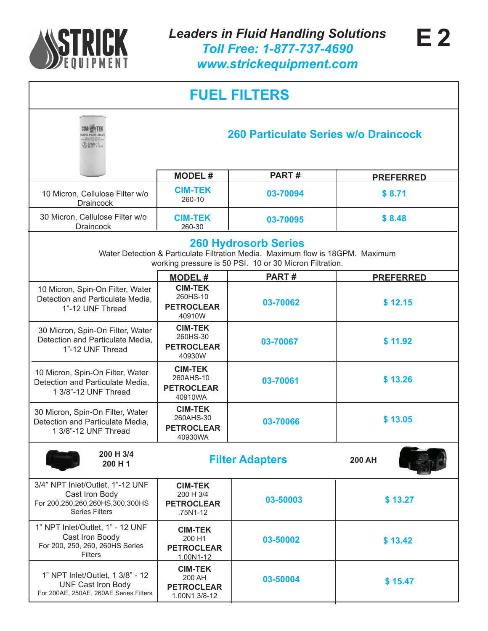

| <b>FUEL FILTERS</b>                                                                                            |                                                                |                                                                                                                                                                          |                  |  |
|----------------------------------------------------------------------------------------------------------------|----------------------------------------------------------------|--------------------------------------------------------------------------------------------------------------------------------------------------------------------------|------------------|--|
| 260 Particulate Series w/o Draincock<br>260-10                                                                 |                                                                |                                                                                                                                                                          |                  |  |
|                                                                                                                | <b>MODEL#</b>                                                  | PART#                                                                                                                                                                    | <b>PREFERRED</b> |  |
| 10 Micron, Cellulose Filter w/o<br><b>Draincock</b>                                                            | <b>CIM-TEK</b><br>260-10                                       | 03-70094                                                                                                                                                                 | \$8.71           |  |
| 30 Micron, Cellulose Filter w/o<br><b>Draincock</b>                                                            | <b>CIM-TEK</b><br>260-30                                       | 03-70095                                                                                                                                                                 | \$8.48           |  |
|                                                                                                                |                                                                | <b>260 Hydrosorb Series</b><br>Water Detection & Particulate Filtration Media. Maximum flow is 18GPM. Maximum<br>working pressure is 50 PSI. 10 or 30 Micron Filtration. |                  |  |
|                                                                                                                | <b>MODEL#</b>                                                  | PART#                                                                                                                                                                    | <b>PREFERRED</b> |  |
| 10 Micron, Spin-On Filter, Water<br>Detection and Particulate Media,<br>1"-12 UNF Thread                       | <b>CIM-TEK</b><br>260HS-10<br><b>PETROCLEAR</b><br>40910W      | 03-70062                                                                                                                                                                 | \$12.15          |  |
| 30 Micron, Spin-On Filter, Water<br>Detection and Particulate Media,<br>1"-12 UNF Thread                       | <b>CIM-TEK</b><br>260HS-30<br><b>PETROCLEAR</b><br>40930W      | 03-70067                                                                                                                                                                 | \$11.92          |  |
| 10 Micron, Spin-On Filter, Water<br>Detection and Particulate Media,<br>1 3/8"-12 UNF Thread                   | <b>CIM-TEK</b><br>260AHS-10<br><b>PETROCLEAR</b><br>40910WA    | 03-70061                                                                                                                                                                 | \$13.26          |  |
| 30 Micron, Spin-On Filter, Water<br>Detection and Particulate Media,<br>1 3/8"-12 UNF Thread                   | <b>CIM-TEK</b><br>260AHS-30<br><b>PETROCLEAR</b><br>40930WA    | 03-70066                                                                                                                                                                 | \$13.05          |  |
| 200 H 3/4<br>200 H 1                                                                                           | <b>Filter Adapters</b>                                         |                                                                                                                                                                          | <b>200 AH</b>    |  |
| 3/4" NPT Inlet/Outlet, 1"-12 UNF<br>Cast Iron Body<br>For 200,250,260,260HS,300,300HS<br><b>Series Filters</b> | <b>CIM-TEK</b><br>200 H 3/4<br><b>PETROCLEAR</b><br>.75N1-12   | 03-50003                                                                                                                                                                 | \$13.27          |  |
| 1" NPT Inlet/Outlet, 1" - 12 UNF<br>Cast Iron Boody<br>For 200, 250, 260, 260HS Series<br><b>Filters</b>       | <b>CIM-TEK</b><br>200 H1<br><b>PETROCLEAR</b><br>1.00N1-12     | 03-50002                                                                                                                                                                 | \$13.42          |  |
| 1" NPT Inlet/Outlet, 1 3/8" - 12<br><b>UNF Cast Iron Body</b><br>For 200AE, 250AE, 260AE Series Filters        | <b>CIM-TEK</b><br>200 AH<br><b>PETROCLEAR</b><br>1.00N1 3/8-12 | 03-50004                                                                                                                                                                 | \$15.47          |  |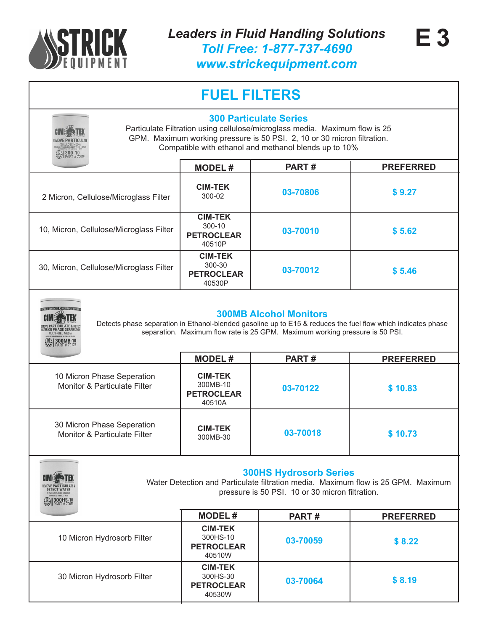

| <b>D</b> 300-10                                                       | <b>300 Particulate Series</b>                             | Particulate Filtration using cellulose/microglass media. Maximum flow is 25<br>GPM. Maximum working pressure is 50 PSI. 2, 10 or 30 micron filtration.<br>Compatible with ethanol and methanol blends up to 10% |                                                                                                                                  |
|-----------------------------------------------------------------------|-----------------------------------------------------------|-----------------------------------------------------------------------------------------------------------------------------------------------------------------------------------------------------------------|----------------------------------------------------------------------------------------------------------------------------------|
|                                                                       | <b>MODEL#</b>                                             | PART#                                                                                                                                                                                                           | <b>PREFERRED</b>                                                                                                                 |
| 2 Micron, Cellulose/Microglass Filter                                 | <b>CIM-TEK</b><br>300-02                                  | 03-70806                                                                                                                                                                                                        | \$9.27                                                                                                                           |
| 10, Micron, Cellulose/Microglass Filter                               | <b>CIM-TEK</b><br>300-10<br><b>PETROCLEAR</b><br>40510P   | 03-70010                                                                                                                                                                                                        | \$5.62                                                                                                                           |
| 30, Micron, Cellulose/Microglass Filter                               | <b>CIM-TEK</b><br>300-30<br><b>PETROCLEAR</b><br>40530P   | 03-70012                                                                                                                                                                                                        | \$5.46                                                                                                                           |
| 300MB-1                                                               | <b>MODEL#</b>                                             | <b>300MB Alcohol Monitors</b><br>separation. Maximum flow rate is 25 GPM. Maximum working pressure is 50 PSI.<br>PART#                                                                                          | Detects phase separation in Ethanol-blended gasoline up to E15 & reduces the fuel flow which indicates phase<br><b>PREFERRED</b> |
| 10 Micron Phase Seperation<br><b>Monitor &amp; Particulate Filter</b> | <b>CIM-TEK</b><br>300MB-10<br><b>PETROCLEAR</b><br>40510A | 03-70122                                                                                                                                                                                                        | \$10.83                                                                                                                          |
| 30 Micron Phase Seperation<br><b>Monitor &amp; Particulate Filter</b> | <b>CIM-TEK</b><br>300MB-30                                | 03-70018                                                                                                                                                                                                        | \$10.73                                                                                                                          |
|                                                                       |                                                           |                                                                                                                                                                                                                 |                                                                                                                                  |
| <b>DETECT WATER</b><br>300HS-10                                       |                                                           | <b>300HS Hydrosorb Series</b><br>pressure is 50 PSI. 10 or 30 micron filtration.                                                                                                                                | Water Detection and Particulate filtration media. Maximum flow is 25 GPM. Maximum                                                |
|                                                                       | <b>MODEL#</b>                                             | PART#                                                                                                                                                                                                           | <b>PREFERRED</b>                                                                                                                 |
| 10 Micron Hydrosorb Filter                                            | <b>CIM-TEK</b><br>300HS-10<br><b>PETROCLEAR</b><br>40510W | 03-70059                                                                                                                                                                                                        | \$8.22                                                                                                                           |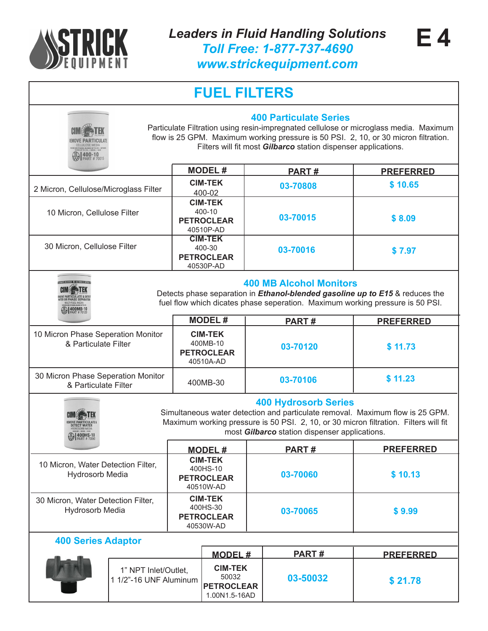

**E 4**

*www.strickequipment.com*

| 400-10                                                       |                                                |                                                                        | <b>400 Particulate Series</b><br>Filters will fit most Gilbarco station dispenser applications. | Particulate Filtration using resin-impregnated cellulose or microglass media. Maximum<br>flow is 25 GPM. Maximum working pressure is 50 PSI. 2, 10, or 30 micron filtration. |
|--------------------------------------------------------------|------------------------------------------------|------------------------------------------------------------------------|-------------------------------------------------------------------------------------------------|------------------------------------------------------------------------------------------------------------------------------------------------------------------------------|
|                                                              |                                                | <b>MODEL#</b>                                                          | PART#                                                                                           | <b>PREFERRED</b>                                                                                                                                                             |
| 2 Micron, Cellulose/Microglass Filter                        |                                                | <b>CIM-TEK</b><br>400-02                                               | 03-70808                                                                                        | \$10.65                                                                                                                                                                      |
| 10 Micron, Cellulose Filter                                  |                                                | <b>CIM-TEK</b><br>400-10<br><b>PETROCLEAR</b><br>40510P-AD             | 03-70015                                                                                        | \$8.09                                                                                                                                                                       |
| 30 Micron, Cellulose Filter                                  |                                                | <b>CIM-TEK</b><br>400-30<br>03-70016<br><b>PETROCLEAR</b><br>40530P-AD |                                                                                                 | \$7.97                                                                                                                                                                       |
|                                                              |                                                |                                                                        | <b>400 MB Alcohol Monitors</b>                                                                  | Detects phase separation in <i>Ethanol-blended gasoline up to E15</i> & reduces the<br>fuel flow which dicates phase seperation. Maximum working pressure is 50 PSI.         |
|                                                              |                                                | <b>MODEL#</b>                                                          | PART#                                                                                           | <b>PREFERRED</b>                                                                                                                                                             |
| 10 Micron Phase Seperation Monitor<br>& Particulate Filter   |                                                | <b>CIM-TEK</b><br>400MB-10<br><b>PETROCLEAR</b><br>40510A-AD           | 03-70120                                                                                        | \$11.73                                                                                                                                                                      |
| 30 Micron Phase Seperation Monitor<br>& Particulate Filter   |                                                | 400MB-30                                                               | 03-70106                                                                                        | \$11.23                                                                                                                                                                      |
| $1400H$ S-10                                                 |                                                |                                                                        | <b>400 Hydrosorb Series</b><br>most Gilbarco station dispenser applications.                    | Simultaneous water detection and particulate removal. Maximum flow is 25 GPM.<br>Maximum working pressure is 50 PSI. 2, 10, or 30 micron filtration. Filters will fit        |
|                                                              |                                                | <b>MODEL#</b>                                                          | <b>PART#</b>                                                                                    | <b>PREFERRED</b>                                                                                                                                                             |
| 10 Micron, Water Detection Filter,<br><b>Hydrosorb Media</b> |                                                | <b>CIM-TEK</b><br>400HS-10<br><b>PETROCLEAR</b><br>40510W-AD           | 03-70060                                                                                        | \$10.13                                                                                                                                                                      |
| 30 Micron, Water Detection Filter,<br><b>Hydrosorb Media</b> |                                                | <b>CIM-TEK</b><br>400HS-30<br><b>PETROCLEAR</b><br>40530W-AD           | 03-70065                                                                                        | \$9.99                                                                                                                                                                       |
| <b>400 Series Adaptor</b>                                    |                                                |                                                                        |                                                                                                 |                                                                                                                                                                              |
|                                                              |                                                | <b>MODEL#</b>                                                          | PART#                                                                                           | <b>PREFERRED</b>                                                                                                                                                             |
|                                                              | 1" NPT Inlet/Outlet,<br>1 1/2"-16 UNF Aluminum | <b>CIM-TEK</b><br>50032<br><b>PETROCLEAR</b><br>1.00N1.5-16AD          | 03-50032                                                                                        | \$21.78                                                                                                                                                                      |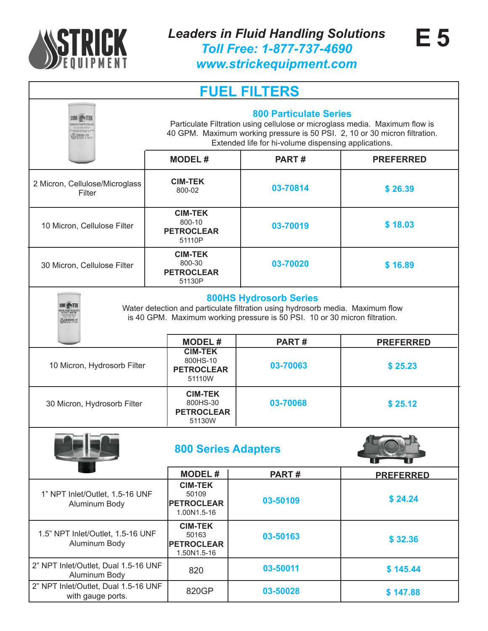

*www.strickequipment.com*

| <b>800 Particulate Series</b><br>Particulate Filtration using cellulose or microglass media. Maximum flow is<br>40 GPM. Maximum working pressure is 50 PSI. 2, 10 or 30 micron filtration.<br>$\bigotimes_{PART} 10^{10}$<br>Extended life for hi-volume dispensing applications. |                                                             |              |                  |  |  |
|-----------------------------------------------------------------------------------------------------------------------------------------------------------------------------------------------------------------------------------------------------------------------------------|-------------------------------------------------------------|--------------|------------------|--|--|
|                                                                                                                                                                                                                                                                                   | <b>MODEL#</b>                                               | <b>PART#</b> | <b>PREFERRED</b> |  |  |
| 2 Micron, Cellulose/Microglass<br>Filter                                                                                                                                                                                                                                          | <b>CIM-TEK</b><br>800-02                                    | 03-70814     | \$26.39          |  |  |
| 10 Micron, Cellulose Filter                                                                                                                                                                                                                                                       | <b>CIM-TEK</b><br>800-10<br><b>PETROCLEAR</b><br>51110P     | 03-70019     | \$18.03          |  |  |
| 30 Micron, Cellulose Filter                                                                                                                                                                                                                                                       | <b>CIM-TEK</b><br>800-30<br><b>PETROCLEAR</b><br>51130P     | 03-70020     | \$16.89          |  |  |
| <b>800HS Hydrosorb Series</b><br><b>CIMER-TEK</b><br>Water detection and particulate filtration using hydrosorb media. Maximum flow<br><b>NOVE PARTICULATE</b><br>is 40 GPM. Maximum working pressure is 50 PSI. 10 or 30 micron filtration.<br><b>ED</b> 800HS-10                |                                                             |              |                  |  |  |
| <b>MODEL#</b><br>PART#<br><b>PREFERRED</b>                                                                                                                                                                                                                                        |                                                             |              |                  |  |  |
| 10 Micron, Hydrosorb Filter                                                                                                                                                                                                                                                       | <b>CIM-TEK</b><br>800HS-10<br><b>PETROCLEAR</b><br>51110W   | 03-70063     | \$25.23          |  |  |
| 30 Micron, Hydrosorb Filter                                                                                                                                                                                                                                                       | <b>CIM-TEK</b><br>800HS-30<br><b>PETROCLEAR</b><br>51130W   | 03-70068     | \$25.12          |  |  |
| <b>800 Series Adapters</b><br>w<br>w                                                                                                                                                                                                                                              |                                                             |              |                  |  |  |
|                                                                                                                                                                                                                                                                                   | <b>MODEL#</b>                                               | PART#        | <b>PREFERRED</b> |  |  |
| 1" NPT Inlet/Outlet, 1.5-16 UNF<br>Aluminum Body                                                                                                                                                                                                                                  | <b>CIM-TEK</b><br>50109<br><b>PETROCLEAR</b><br>1.00N1.5-16 | 03-50109     | \$24.24          |  |  |
| 1.5" NPT Inlet/Outlet, 1.5-16 UNF<br>Aluminum Body                                                                                                                                                                                                                                | <b>CIM-TEK</b><br>50163<br><b>PETROCLEAR</b><br>1.50N1.5-16 | 03-50163     | \$32.36          |  |  |
| 2" NPT Inlet/Outlet, Dual 1.5-16 UNF<br>Aluminum Body                                                                                                                                                                                                                             | 820                                                         | 03-50011     | \$145.44         |  |  |
| 2" NPT Inlet/Outlet, Dual 1.5-16 UNF<br>with gauge ports.                                                                                                                                                                                                                         | 820GP                                                       | 03-50028     | \$147.88         |  |  |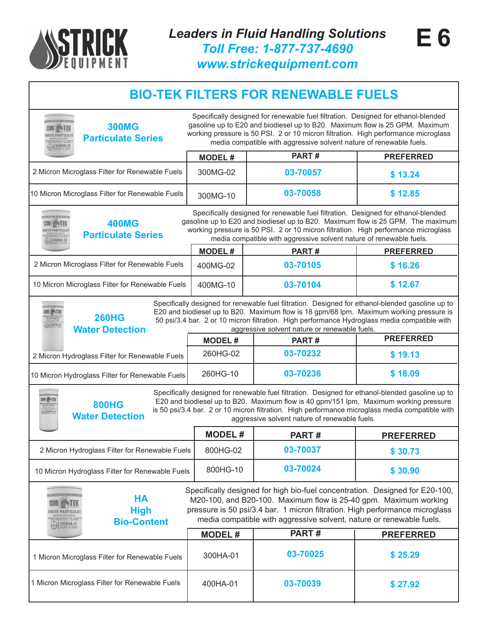

#### **BIO-TEK FILTERS FOR RENEWABLE FUELS**

| <b>300MG</b><br><b>Particulate Series</b>                                                                                                                                                                                                                                                                                                                                                                                                                            | Specifically designed for renewable fuel filtration. Designed for ethanol-blended<br>gasoline up to E20 and biodiesel up to B20. Maximum flow is 25 GPM. Maximum<br>working pressure is 50 PSI. 2 or 10 micron filtration. High performance microglass<br>media compatible with aggressive solvent nature of renewable fuels. |              |                  |  |  |
|----------------------------------------------------------------------------------------------------------------------------------------------------------------------------------------------------------------------------------------------------------------------------------------------------------------------------------------------------------------------------------------------------------------------------------------------------------------------|-------------------------------------------------------------------------------------------------------------------------------------------------------------------------------------------------------------------------------------------------------------------------------------------------------------------------------|--------------|------------------|--|--|
|                                                                                                                                                                                                                                                                                                                                                                                                                                                                      | <b>MODEL#</b>                                                                                                                                                                                                                                                                                                                 | PART#        | <b>PREFERRED</b> |  |  |
| 2 Micron Microglass Filter for Renewable Fuels                                                                                                                                                                                                                                                                                                                                                                                                                       | 300MG-02                                                                                                                                                                                                                                                                                                                      | 03-70057     | \$13.24          |  |  |
| 10 Micron Microglass Filter for Renewable Fuels                                                                                                                                                                                                                                                                                                                                                                                                                      | 300MG-10                                                                                                                                                                                                                                                                                                                      | 03-70058     | \$12.85          |  |  |
| Specifically designed for renewable fuel filtration. Designed for ethanol-blended<br>gasoline up to E20 and biodiesel up to B20. Maximum flow is 25 GPM. The maximum<br><b>400MG</b><br>working pressure is 50 PSI. 2 or 10 micron filtration. High performance microglass<br><b>Particulate Series</b><br>media compatible with aggressive solvent nature of renewable fuels.<br>$\bigcirc$ 400MG-02                                                                |                                                                                                                                                                                                                                                                                                                               |              |                  |  |  |
|                                                                                                                                                                                                                                                                                                                                                                                                                                                                      | <b>MODEL#</b>                                                                                                                                                                                                                                                                                                                 | PART#        | <b>PREFERRED</b> |  |  |
| 2 Micron Microglass Filter for Renewable Fuels                                                                                                                                                                                                                                                                                                                                                                                                                       | 400MG-02                                                                                                                                                                                                                                                                                                                      | 03-70105     | \$16.26          |  |  |
| 10 Micron Microglass Filter for Renewable Fuels                                                                                                                                                                                                                                                                                                                                                                                                                      | 400MG-10                                                                                                                                                                                                                                                                                                                      | 03-70104     | \$12.67          |  |  |
| Specifically designed for renewable fuel filtration. Designed for ethanol-blended gasoline up to<br>E20 and biodiesel up to B20. Maximum flow is 18 gpm/68 lpm. Maximum working pressure is<br>CIMÉ <b>&gt;TE</b> K<br><b>260HG</b><br>50 psi/3.4 bar. 2 or 10 micron filtration. High performance Hydroglass media compatible with<br>260HG-02<br><b>Water Detection</b><br>aggressive solvent nature or renewable fuels.                                           |                                                                                                                                                                                                                                                                                                                               |              |                  |  |  |
|                                                                                                                                                                                                                                                                                                                                                                                                                                                                      | <b>MODEL#</b>                                                                                                                                                                                                                                                                                                                 | <b>PART#</b> | <b>PREFERRED</b> |  |  |
| 2 Micron Hydroglass Filter for Renewable Fuels                                                                                                                                                                                                                                                                                                                                                                                                                       | 260HG-02                                                                                                                                                                                                                                                                                                                      | 03-70232     | \$19.13          |  |  |
| \$18.09<br>260HG-10<br>03-70236<br>10 Micron Hydroglass Filter for Renewable Fuels                                                                                                                                                                                                                                                                                                                                                                                   |                                                                                                                                                                                                                                                                                                                               |              |                  |  |  |
| Specifically designed for renewable fuel filtration. Designed for ethanol-blended gasoline up to<br>CIM <sup>E</sup> TEK<br>E20 and biodiesel up to B20. Maximum flow is 40 gpm/151 lpm. Maximum working pressure<br><b>800HG</b><br>IOVE PARTICULI<br>DETECT WATER<br>is 50 psi/3.4 bar. 2 or 10 micron filtration. High performance microglass media compatible with<br><b>ABOOHG-0</b><br><b>Water Detection</b><br>aggressive solvent nature of renewable fuels. |                                                                                                                                                                                                                                                                                                                               |              |                  |  |  |
|                                                                                                                                                                                                                                                                                                                                                                                                                                                                      | <b>MODEL#</b>                                                                                                                                                                                                                                                                                                                 | <b>PART#</b> | <b>PREFERRED</b> |  |  |
| 2 Micron Hydroglass Filter for Renewable Fuels                                                                                                                                                                                                                                                                                                                                                                                                                       | 800HG-02                                                                                                                                                                                                                                                                                                                      | 03-70037     | \$30.73          |  |  |
| 10 Micron Hydroglass Filter for Renewable Fuels                                                                                                                                                                                                                                                                                                                                                                                                                      | 800HG-10                                                                                                                                                                                                                                                                                                                      | 03-70024     | \$30.90          |  |  |
| Specifically designed for high bio-fuel concentration. Designed for E20-100,<br><b>HA</b><br>M20-100, and B20-100. Maximum flow is 25-40 gpm. Maximum working<br>pressure is 50 psi/3.4 bar. 1 micron filtration. High performance microglass<br><b>High</b><br>media compatible with aggressive solvent, nature or renewable fuels.<br><b>Bio-Content</b><br>300HA-01                                                                                               |                                                                                                                                                                                                                                                                                                                               |              |                  |  |  |
|                                                                                                                                                                                                                                                                                                                                                                                                                                                                      | <b>MODEL#</b>                                                                                                                                                                                                                                                                                                                 | PART#        | <b>PREFERRED</b> |  |  |
| 1 Micron Microglass Filter for Renewable Fuels                                                                                                                                                                                                                                                                                                                                                                                                                       | 300HA-01                                                                                                                                                                                                                                                                                                                      | 03-70025     | \$25.29          |  |  |
| 1 Micron Microglass Filter for Renewable Fuels                                                                                                                                                                                                                                                                                                                                                                                                                       | 400HA-01                                                                                                                                                                                                                                                                                                                      | 03-70039     | \$27.92          |  |  |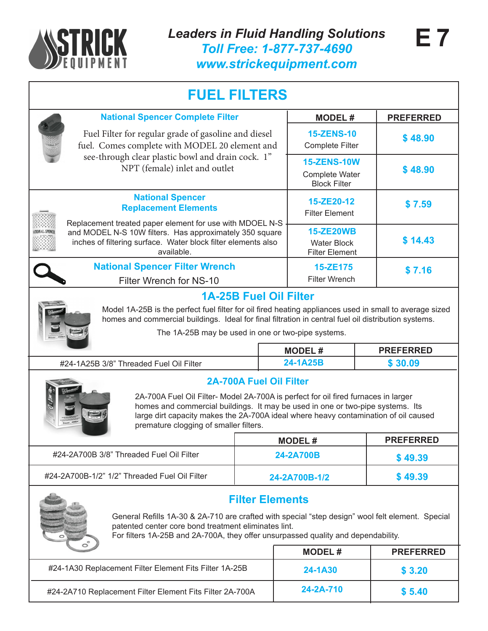

|                                                                                                                                                                                                                                                                                                                                         | <b>National Spencer Complete Filter</b>                                                                                                                                                                                                                               |  |                                                                    | <b>MODEL#</b>                                                   | <b>PREFERRED</b> |
|-----------------------------------------------------------------------------------------------------------------------------------------------------------------------------------------------------------------------------------------------------------------------------------------------------------------------------------------|-----------------------------------------------------------------------------------------------------------------------------------------------------------------------------------------------------------------------------------------------------------------------|--|--------------------------------------------------------------------|-----------------------------------------------------------------|------------------|
| Fuel Filter for regular grade of gasoline and diesel<br>fuel. Comes complete with MODEL 20 element and<br>see-through clear plastic bowl and drain cock. 1"<br>NPT (female) inlet and outlet                                                                                                                                            |                                                                                                                                                                                                                                                                       |  |                                                                    | <b>15-ZENS-10</b><br><b>Complete Filter</b>                     | \$48.90          |
|                                                                                                                                                                                                                                                                                                                                         |                                                                                                                                                                                                                                                                       |  | <b>15-ZENS-10W</b><br><b>Complete Water</b><br><b>Block Filter</b> | \$48.90                                                         |                  |
|                                                                                                                                                                                                                                                                                                                                         | <b>National Spencer</b><br><b>Replacement Elements</b><br>Replacement treated paper element for use with MDOEL N-S                                                                                                                                                    |  |                                                                    | 15-ZE20-12<br><b>Filter Element</b>                             | \$7.59           |
|                                                                                                                                                                                                                                                                                                                                         | and MODEL N-S 10W filters. Has approximately 350 square<br>inches of filtering surface. Water block filter elements also<br>available.                                                                                                                                |  |                                                                    | <b>15-ZE20WB</b><br><b>Water Block</b><br><b>Filter Element</b> | \$14.43          |
|                                                                                                                                                                                                                                                                                                                                         | <b>National Spencer Filter Wrench</b><br>Filter Wrench for NS-10                                                                                                                                                                                                      |  |                                                                    | 15-ZE175<br><b>Filter Wrench</b>                                | \$7.16           |
|                                                                                                                                                                                                                                                                                                                                         |                                                                                                                                                                                                                                                                       |  | <b>1A-25B Fuel Oil Filter</b>                                      |                                                                 |                  |
|                                                                                                                                                                                                                                                                                                                                         | Model 1A-25B is the perfect fuel filter for oil fired heating appliances used in small to average sized<br>homes and commercial buildings. Ideal for final filtration in central fuel oil distribution systems.<br>The 1A-25B may be used in one or two-pipe systems. |  |                                                                    |                                                                 |                  |
|                                                                                                                                                                                                                                                                                                                                         |                                                                                                                                                                                                                                                                       |  | <b>MODEL#</b>                                                      |                                                                 | <b>PREFERRED</b> |
| #24-1A25B 3/8" Threaded Fuel Oil Filter                                                                                                                                                                                                                                                                                                 |                                                                                                                                                                                                                                                                       |  | 24-1A25B                                                           |                                                                 | \$30.09          |
| <b>2A-700A Fuel Oil Filter</b><br>2A-700A Fuel Oil Filter- Model 2A-700A is perfect for oil fired furnaces in larger<br>homes and commercial buildings. It may be used in one or two-pipe systems. Its<br>large dirt capacity makes the 2A-700A ideal where heavy contamination of oil caused<br>premature clogging of smaller filters. |                                                                                                                                                                                                                                                                       |  |                                                                    |                                                                 |                  |
|                                                                                                                                                                                                                                                                                                                                         |                                                                                                                                                                                                                                                                       |  | <b>MODEL#</b>                                                      |                                                                 | <b>PREFERRED</b> |
|                                                                                                                                                                                                                                                                                                                                         | #24-2A700B 3/8" Threaded Fuel Oil Filter                                                                                                                                                                                                                              |  | 24-2A700B                                                          |                                                                 | \$49.39          |
|                                                                                                                                                                                                                                                                                                                                         | #24-2A700B-1/2" 1/2" Threaded Fuel Oil Filter                                                                                                                                                                                                                         |  | 24-2A700B-1/2                                                      |                                                                 | \$49.39          |
| <b>Filter Elements</b><br>General Refills 1A-30 & 2A-710 are crafted with special "step design" wool felt element. Special<br>patented center core bond treatment eliminates lint.<br>For filters 1A-25B and 2A-700A, they offer unsurpassed quality and dependability.                                                                 |                                                                                                                                                                                                                                                                       |  |                                                                    |                                                                 |                  |
|                                                                                                                                                                                                                                                                                                                                         |                                                                                                                                                                                                                                                                       |  |                                                                    | <b>MODEL#</b>                                                   | <b>PREFERRED</b> |
|                                                                                                                                                                                                                                                                                                                                         | #24-1A30 Replacement Filter Element Fits Filter 1A-25B                                                                                                                                                                                                                |  |                                                                    | 24-1A30                                                         | \$3.20           |
|                                                                                                                                                                                                                                                                                                                                         | #24-2A710 Replacement Filter Element Fits Filter 2A-700A                                                                                                                                                                                                              |  |                                                                    | 24-2A-710                                                       | \$5.40           |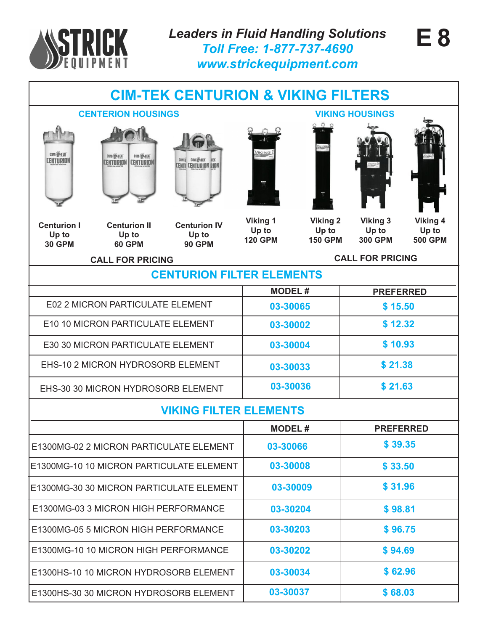

## **CIM-TEK CENTURION & VIKING FILTERS**







**Centurion I Up to 30 GPM**

**Centurion II Up to 60 GPM**



**Viking 1 Up to 120 GPM**

**Viking 2 Up to 150 GPM**



**Up to 300 GPM**



**Viking 4 Up to 500 GPM**

**CALL FOR PRICING CALL FOR PRICING**

#### **CENTURION FILTER ELEMENTS**

|                                         | <b>MODEL#</b> | <b>PREFERRED</b> |
|-----------------------------------------|---------------|------------------|
| <b>E02 2 MICRON PARTICULATE ELEMENT</b> | 03-30065      | \$15.50          |
| E10 10 MICRON PARTICULATE ELEMENT       | 03-30002      | \$12.32          |
| E30 30 MICRON PARTICULATE ELEMENT       | 03-30004      | \$10.93          |
| EHS-10 2 MICRON HYDROSORB ELEMENT       | 03-30033      | \$21.38          |
| EHS-30 30 MICRON HYDROSORB ELEMENT      | 03-30036      | \$21.63          |

#### **VIKING FILTER ELEMENTS**

|                                          | <b>MODEL#</b> | <b>PREFERRED</b> |
|------------------------------------------|---------------|------------------|
| E1300MG-02 2 MICRON PARTICULATE ELEMENT  | 03-30066      | \$39.35          |
| E1300MG-10 10 MICRON PARTICULATE ELEMENT | 03-30008      | \$33.50          |
| E1300MG-30 30 MICRON PARTICULATE ELEMENT | 03-30009      | \$31.96          |
| E1300MG-03 3 MICRON HIGH PERFORMANCE     | 03-30204      | \$98.81          |
| E1300MG-05 5 MICRON HIGH PERFORMANCE     | 03-30203      | \$96.75          |
| E1300MG-10 10 MICRON HIGH PERFORMANCE    | 03-30202      | \$94.69          |
| E1300HS-10 10 MICRON HYDROSORB ELEMENT   | 03-30034      | \$62.96          |
| E1300HS-30 30 MICRON HYDROSORB ELEMENT   | 03-30037      | \$68.03          |